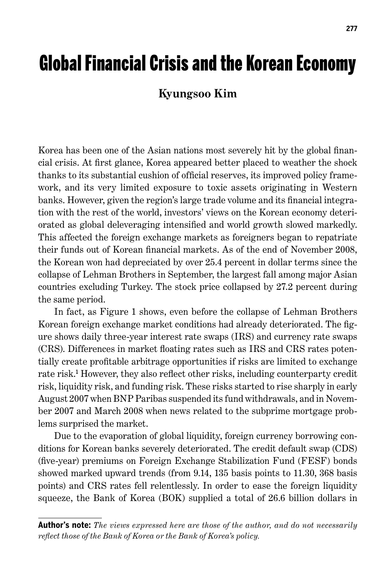# Global Financial Crisis and the Korean Economy

### **Kyungsoo Kim**

Korea has been one of the Asian nations most severely hit by the global financial crisis. At first glance, Korea appeared better placed to weather the shock thanks to its substantial cushion of official reserves, its improved policy framework, and its very limited exposure to toxic assets originating in Western banks. However, given the region's large trade volume and its financial integration with the rest of the world, investors' views on the Korean economy deteriorated as global deleveraging intensified and world growth slowed markedly. This affected the foreign exchange markets as foreigners began to repatriate their funds out of Korean financial markets. As of the end of November 2008, the Korean won had depreciated by over 25.4 percent in dollar terms since the collapse of Lehman Brothers in September, the largest fall among major Asian countries excluding Turkey. The stock price collapsed by 27.2 percent during the same period.

In fact, as Figure 1 shows, even before the collapse of Lehman Brothers Korean foreign exchange market conditions had already deteriorated. The figure shows daily three-year interest rate swaps (IRS) and currency rate swaps (CRS). Differences in market floating rates such as IRS and CRS rates potentially create profitable arbitrage opportunities if risks are limited to exchange rate risk. 1 However, they also reflect other risks, including counterparty credit risk, liquidity risk, and funding risk. These risks started to rise sharply in early August 2007 when BNP Paribas suspended its fund withdrawals, and in November 2007 and March 2008 when news related to the subprime mortgage problems surprised the market.

Due to the evaporation of global liquidity, foreign currency borrowing conditions for Korean banks severely deteriorated. The credit default swap (CDS) (five-year) premiums on Foreign Exchange Stabilization Fund (FESF) bonds showed marked upward trends (from 9.14, 135 basis points to 11.30, 368 basis points) and CRS rates fell relentlessly. In order to ease the foreign liquidity squeeze, the Bank of Korea (BOK) supplied a total of 26.6 billion dollars in

**Author's note:** *The views expressed here are those of the author, and do not necessarily reflect those of the Bank of Korea or the Bank of Korea's policy.*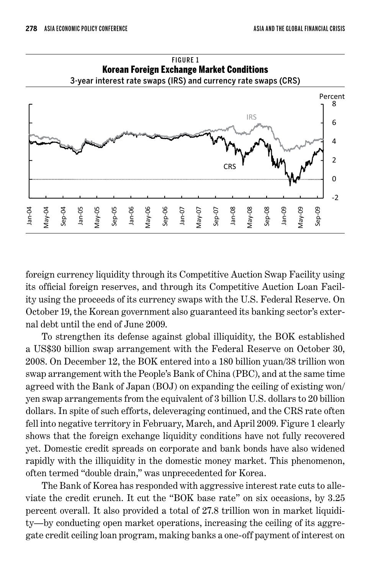

FIGURE 1 Korean Foreign Exchange Market Conditions

foreign currency liquidity through its Competitive Auction Swap Facility using its official foreign reserves, and through its Competitive Auction Loan Facility using the proceeds of its currency swaps with the U.S. Federal Reserve. On October 19, the Korean government also guaranteed its banking sector's external debt until the end of June 2009.

To strengthen its defense against global illiquidity, the BOK established a US\$30 billion swap arrangement with the Federal Reserve on October 30, 2008. On December 12, the BOK entered into a 180 billion yuan/38 trillion won swap arrangement with the People's Bank of China (PBC), and at the same time agreed with the Bank of Japan (BOJ) on expanding the ceiling of existing won/ yen swap arrangements from the equivalent of 3 billion U.S. dollars to 20 billion dollars. In spite of such efforts, deleveraging continued, and the CRS rate often fell into negative territory in February, March, and April 2009. Figure 1 clearly shows that the foreign exchange liquidity conditions have not fully recovered yet. Domestic credit spreads on corporate and bank bonds have also widened rapidly with the illiquidity in the domestic money market. This phenomenon, often termed "double drain," was unprecedented for Korea.

The Bank of Korea has responded with aggressive interest rate cuts to alleviate the credit crunch. It cut the "BOK base rate" on six occasions, by 3.25 percent overall. It also provided a total of 27.8 trillion won in market liquidity—by conducting open market operations, increasing the ceiling of its aggregate credit ceiling loan program, making banks a one-off payment of interest on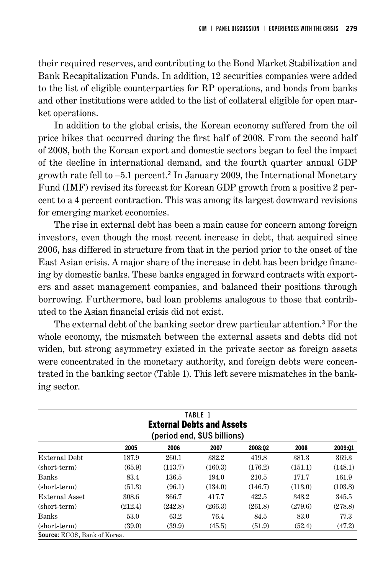their required reserves, and contributing to the Bond Market Stabilization and Bank Recapitalization Funds. In addition, 12 securities companies were added to the list of eligible counterparties for RP operations, and bonds from banks and other institutions were added to the list of collateral eligible for open market operations.

In addition to the global crisis, the Korean economy suffered from the oil price hikes that occurred during the first half of 2008. From the second half of 2008, both the Korean export and domestic sectors began to feel the impact of the decline in international demand, and the fourth quarter annual GDP growth rate fell to –5.1 percent. 2 In January 2009, the International Monetary Fund (IMF) revised its forecast for Korean GDP growth from a positive 2 percent to a 4 percent contraction. This was among its largest downward revisions for emerging market economies.

The rise in external debt has been a main cause for concern among foreign investors, even though the most recent increase in debt, that acquired since 2006, has differed in structure from that in the period prior to the onset of the East Asian crisis. A major share of the increase in debt has been bridge financing by domestic banks. These banks engaged in forward contracts with exporters and asset management companies, and balanced their positions through borrowing. Furthermore, bad loan problems analogous to those that contributed to the Asian financial crisis did not exist.

The external debt of the banking sector drew particular attention. 3 For the whole economy, the mismatch between the external assets and debts did not widen, but strong asymmetry existed in the private sector as foreign assets were concentrated in the monetary authority, and foreign debts were concentrated in the banking sector (Table 1). This left severe mismatches in the banking sector.

| TABLE 1<br><b>External Debts and Assets</b><br>(period end, \$US billions) |         |         |         |         |         |         |
|----------------------------------------------------------------------------|---------|---------|---------|---------|---------|---------|
|                                                                            | 2005    | 2006    | 2007    | 2008:02 | 2008    | 2009:01 |
| External Debt                                                              | 187.9   | 260.1   | 382.2   | 419.8   | 381.3   | 369.3   |
| (short-term)                                                               | (65.9)  | (113.7) | (160.3) | (176.2) | (151.1) | (148.1) |
| Banks                                                                      | 83.4    | 136.5   | 194.0   | 210.5   | 171.7   | 161.9   |
| (short-term)                                                               | (51.3)  | (96.1)  | (134.0) | (146.7) | (113.0) | (103.8) |
| External Asset                                                             | 308.6   | 366.7   | 417.7   | 422.5   | 348.2   | 345.5   |
| (short-term)                                                               | (212.4) | (242.8) | (266.3) | (261.8) | (279.6) | (278.8) |
| <b>Banks</b>                                                               | 53.0    | 63.2    | 76.4    | 84.5    | 83.0    | 77.3    |
| (short-term)                                                               | (39.0)  | (39.9)  | (45.5)  | (51.9)  | (52.4)  | (47.2)  |
| Source: ECOS, Bank of Korea.                                               |         |         |         |         |         |         |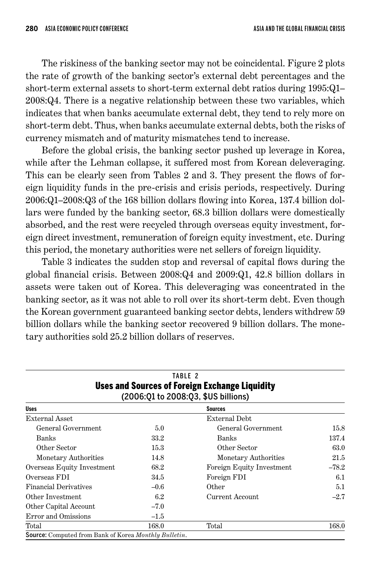The riskiness of the banking sector may not be coincidental. Figure 2 plots the rate of growth of the banking sector's external debt percentages and the short-term external assets to short-term external debt ratios during 1995:Q1– 2008:Q4. There is a negative relationship between these two variables, which indicates that when banks accumulate external debt, they tend to rely more on short-term debt. Thus, when banks accumulate external debts, both the risks of currency mismatch and of maturity mismatches tend to increase.

Before the global crisis, the banking sector pushed up leverage in Korea, while after the Lehman collapse, it suffered most from Korean deleveraging. This can be clearly seen from Tables 2 and 3. They present the flows of foreign liquidity funds in the pre-crisis and crisis periods, respectively. During 2006:Q1–2008:Q3 of the 168 billion dollars flowing into Korea, 137.4 billion dollars were funded by the banking sector, 68.3 billion dollars were domestically absorbed, and the rest were recycled through overseas equity investment, foreign direct investment, remuneration of foreign equity investment, etc. During this period, the monetary authorities were net sellers of foreign liquidity.

Table 3 indicates the sudden stop and reversal of capital flows during the global financial crisis. Between 2008:Q4 and 2009:Q1, 42.8 billion dollars in assets were taken out of Korea. This deleveraging was concentrated in the banking sector, as it was not able to roll over its short-term debt. Even though the Korean government guaranteed banking sector debts, lenders withdrew 59 billion dollars while the banking sector recovered 9 billion dollars. The monetary authorities sold 25.2 billion dollars of reserves.

|                                                                      |               | TABLE 2                                               |         |  |  |  |
|----------------------------------------------------------------------|---------------|-------------------------------------------------------|---------|--|--|--|
|                                                                      |               | <b>Uses and Sources of Foreign Exchange Liquidity</b> |         |  |  |  |
| (2006:01 to 2008:03, \$US billions)                                  |               |                                                       |         |  |  |  |
| <b>Uses</b>                                                          |               | <b>Sources</b>                                        |         |  |  |  |
| External Asset                                                       | External Debt |                                                       |         |  |  |  |
| General Government                                                   | 5.0           | General Government                                    | 15.8    |  |  |  |
| Banks                                                                | 33.2          | Banks                                                 | 137.4   |  |  |  |
| Other Sector                                                         | 15.3          | Other Sector                                          | 63.0    |  |  |  |
| Monetary Authorities                                                 | 14.8          | Monetary Authorities                                  | 21.5    |  |  |  |
| Overseas Equity Investment                                           | 68.2          | Foreign Equity Investment                             | $-78.2$ |  |  |  |
| Overseas FDI                                                         | 34.5          | Foreign FDI                                           | 6.1     |  |  |  |
| <b>Financial Derivatives</b>                                         | $-0.6$        | Other                                                 | 5.1     |  |  |  |
| Other Investment                                                     | 6.2           | Current Account                                       | $-2.7$  |  |  |  |
| Other Capital Account                                                | $-7.0$        |                                                       |         |  |  |  |
| Error and Omissions                                                  | $-1.5$        |                                                       |         |  |  |  |
| Total                                                                | 168.0         | Total                                                 | 168.0   |  |  |  |
| <b>Source:</b> Computed from Bank of Korea <i>Monthly Bulletin</i> . |               |                                                       |         |  |  |  |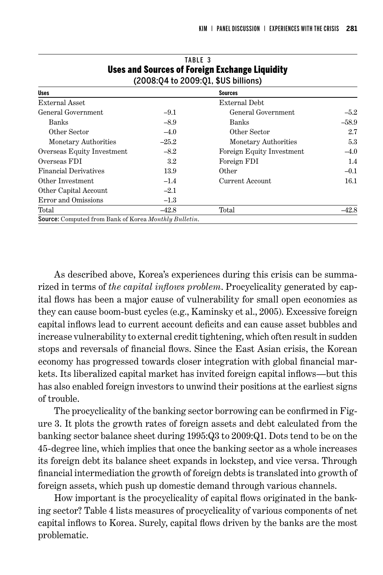| 0363 AND OVERVES OF FOREIGN EXCHANGE EIGHNITY<br>(2008:Q4 to 2009:Q1, \$US billions) |         |                           |         |  |  |
|--------------------------------------------------------------------------------------|---------|---------------------------|---------|--|--|
| <b>Uses</b>                                                                          |         | <b>Sources</b>            |         |  |  |
| External Asset                                                                       |         | External Debt             |         |  |  |
| General Government                                                                   | $-9.1$  | General Government        | $-5.2$  |  |  |
| <b>Banks</b>                                                                         | $-8.9$  | Banks                     | $-58.9$ |  |  |
| Other Sector                                                                         | $-4.0$  | Other Sector              | 2.7     |  |  |
| Monetary Authorities                                                                 | $-25.2$ | Monetary Authorities      | 5.3     |  |  |
| Overseas Equity Investment                                                           | $-8.2$  | Foreign Equity Investment | $-4.0$  |  |  |
| Overseas FDI                                                                         | $3.2\,$ | Foreign FDI               | 1.4     |  |  |
| <b>Financial Derivatives</b>                                                         | 13.9    | Other                     | $-0.1$  |  |  |
| Other Investment                                                                     | $-1.4$  | <b>Current Account</b>    | 16.1    |  |  |
| Other Capital Account                                                                | $-2.1$  |                           |         |  |  |
| Error and Omissions                                                                  | $-1.3$  |                           |         |  |  |
| Total                                                                                | $-42.8$ | Total                     | $-42.8$ |  |  |
| <b>Source:</b> Computed from Bank of Korea Monthly Bulletin.                         |         |                           |         |  |  |

## TABLE 3 Uses and Sources of Foreign Exchange Liquidity

As described above, Korea's experiences during this crisis can be summarized in terms of *the capital inflows problem*. Procyclicality generated by capital flows has been a major cause of vulnerability for small open economies as they can cause boom-bust cycles (e.g., Kaminsky et al., 2005). Excessive foreign capital inflows lead to current account deficits and can cause asset bubbles and increase vulnerability to external credit tightening, which often result in sudden stops and reversals of financial flows. Since the East Asian crisis, the Korean economy has progressed towards closer integration with global financial markets. Its liberalized capital market has invited foreign capital inflows—but this has also enabled foreign investors to unwind their positions at the earliest signs of trouble.

The procyclicality of the banking sector borrowing can be confirmed in Figure 3. It plots the growth rates of foreign assets and debt calculated from the banking sector balance sheet during 1995:Q3 to 2009:Q1. Dots tend to be on the 45-degree line, which implies that once the banking sector as a whole increases its foreign debt its balance sheet expands in lockstep, and vice versa. Through financial intermediation the growth of foreign debts is translated into growth of foreign assets, which push up domestic demand through various channels.

How important is the procyclicality of capital flows originated in the banking sector? Table 4 lists measures of procyclicality of various components of net capital inflows to Korea. Surely, capital flows driven by the banks are the most problematic.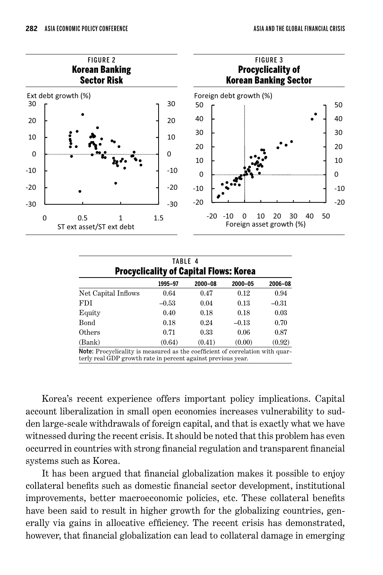

| TABLE 4<br><b>Procyclicality of Capital Flows: Korea</b>                                                                                      |         |         |         |         |  |  |
|-----------------------------------------------------------------------------------------------------------------------------------------------|---------|---------|---------|---------|--|--|
|                                                                                                                                               | 1995-97 | 2000-08 | 2000-05 | 2006-08 |  |  |
| Net Capital Inflows                                                                                                                           | 0.64    | 0.47    | 0.12    | 0.94    |  |  |
| FDI                                                                                                                                           | $-0.53$ | 0.04    | 0.13    | $-0.31$ |  |  |
| Equity                                                                                                                                        | 0.40    | 0.18    | 0.18    | 0.03    |  |  |
| $_{\rm Bond}$                                                                                                                                 | 0.18    | 0.24    | $-0.13$ | 0.70    |  |  |
| $0$ thers                                                                                                                                     | 0.71    | 0.33    | 0.06    | 0.87    |  |  |
| (Bank)                                                                                                                                        | (0.64)  | (0.41)  | (0.00)  | (0.92)  |  |  |
| Note: Procyclicality is measured as the coefficient of correlation with quar-<br>terly real GDP growth rate in percent against previous year. |         |         |         |         |  |  |

Korea's recent experience offers important policy implications. Capital account liberalization in small open economies increases vulnerability to sudden large-scale withdrawals of foreign capital, and that is exactly what we have witnessed during the recent crisis. It should be noted that this problem has even occurred in countries with strong financial regulation and transparent financial systems such as Korea.

It has been argued that financial globalization makes it possible to enjoy collateral benefits such as domestic financial sector development, institutional improvements, better macroeconomic policies, etc. These collateral benefits have been said to result in higher growth for the globalizing countries, generally via gains in allocative efficiency. The recent crisis has demonstrated, however, that financial globalization can lead to collateral damage in emerging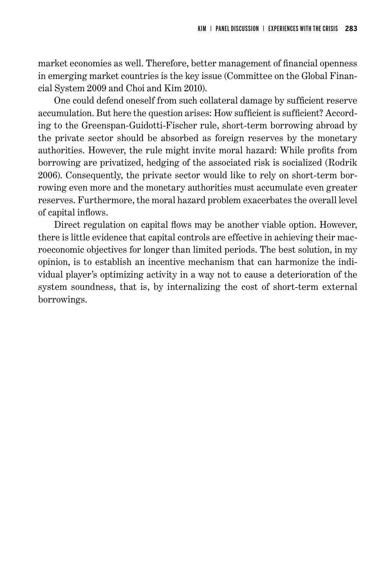market economies as well. Therefore, better management of financial openness in emerging market countries is the key issue (Committee on the Global Financial System 2009 and Choi and Kim 2010).

One could defend oneself from such collateral damage by sufficient reserve accumulation. But here the question arises: How sufficient is sufficient? According to the Greenspan-Guidotti-Fischer rule, short-term borrowing abroad by the private sector should be absorbed as foreign reserves by the monetary authorities. However, the rule might invite moral hazard: While profits from borrowing are privatized, hedging of the associated risk is socialized (Rodrik 2006). Consequently, the private sector would like to rely on short-term borrowing even more and the monetary authorities must accumulate even greater reserves. Furthermore, the moral hazard problem exacerbates the overall level of capital inflows.

Direct regulation on capital flows may be another viable option. However, there is little evidence that capital controls are effective in achieving their macroeconomic objectives for longer than limited periods. The best solution, in my opinion, is to establish an incentive mechanism that can harmonize the individual player's optimizing activity in a way not to cause a deterioration of the system soundness, that is, by internalizing the cost of short-term external borrowings.